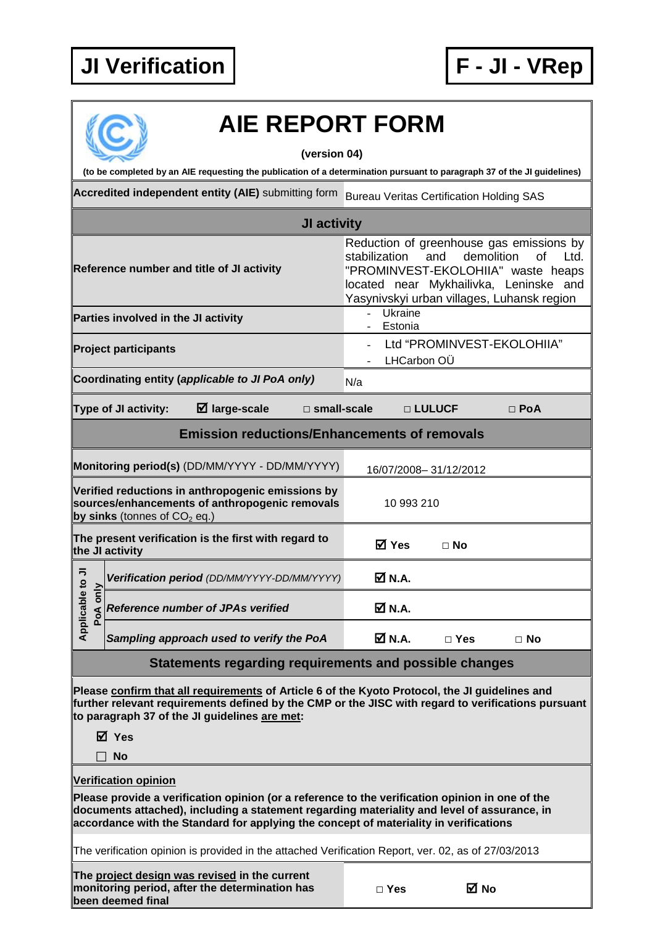## **JI Verification F - JI - VRep**



## **AIE REPORT FORM**

**(version 04)**

**(to be completed by an AIE requesting the publication of a determination pursuant to paragraph 37 of the JI guidelines)**

**Accredited independent entity (AIE)** submitting form Bureau Veritas Certification Holding SAS

|                                                                                                                                                                                                                                                                                         | JI activity                                                                                                                           |                                                                                                                                                                                                                                   |                       |            |  |  |  |  |
|-----------------------------------------------------------------------------------------------------------------------------------------------------------------------------------------------------------------------------------------------------------------------------------------|---------------------------------------------------------------------------------------------------------------------------------------|-----------------------------------------------------------------------------------------------------------------------------------------------------------------------------------------------------------------------------------|-----------------------|------------|--|--|--|--|
| Reference number and title of JI activity                                                                                                                                                                                                                                               |                                                                                                                                       | Reduction of greenhouse gas emissions by<br>stabilization<br>demolition<br><b>of</b><br>and<br>Ltd.<br>"PROMINVEST-EKOLOHIIA" waste heaps<br>located near Mykhailivka, Leninske and<br>Yasynivskyi urban villages, Luhansk region |                       |            |  |  |  |  |
|                                                                                                                                                                                                                                                                                         | Parties involved in the JI activity                                                                                                   | Ukraine<br>$\overline{a}$<br>Estonia                                                                                                                                                                                              |                       |            |  |  |  |  |
| <b>Project participants</b>                                                                                                                                                                                                                                                             |                                                                                                                                       | Ltd "PROMINVEST-EKOLOHIIA"<br>LHCarbon OÜ                                                                                                                                                                                         |                       |            |  |  |  |  |
|                                                                                                                                                                                                                                                                                         | Coordinating entity (applicable to JI PoA only)                                                                                       | N/a                                                                                                                                                                                                                               |                       |            |  |  |  |  |
|                                                                                                                                                                                                                                                                                         | $\boxtimes$ large-scale<br>$\square$ small-scale<br><b>Type of JI activity:</b>                                                       |                                                                                                                                                                                                                                   | □ LULUCF              | $\Box$ PoA |  |  |  |  |
|                                                                                                                                                                                                                                                                                         | <b>Emission reductions/Enhancements of removals</b>                                                                                   |                                                                                                                                                                                                                                   |                       |            |  |  |  |  |
| Monitoring period(s) (DD/MM/YYYY - DD/MM/YYYY)                                                                                                                                                                                                                                          |                                                                                                                                       |                                                                                                                                                                                                                                   | 16/07/2008-31/12/2012 |            |  |  |  |  |
|                                                                                                                                                                                                                                                                                         | Verified reductions in anthropogenic emissions by<br>sources/enhancements of anthropogenic removals<br>by sinks (tonnes of $CO2$ eq.) | 10 993 210                                                                                                                                                                                                                        |                       |            |  |  |  |  |
| The present verification is the first with regard to<br>the JI activity                                                                                                                                                                                                                 |                                                                                                                                       | <b>⊠</b> Yes                                                                                                                                                                                                                      | $\Box$ No             |            |  |  |  |  |
|                                                                                                                                                                                                                                                                                         | Verification period (DD/MM/YYYY-DD/MM/YYYY)                                                                                           | $\boxtimes$ N.A.                                                                                                                                                                                                                  |                       |            |  |  |  |  |
| Applicable to JI<br>only<br>PoA                                                                                                                                                                                                                                                         | <b>Reference number of JPAs verified</b>                                                                                              | <b>Ø</b> N.A.                                                                                                                                                                                                                     |                       |            |  |  |  |  |
|                                                                                                                                                                                                                                                                                         | Sampling approach used to verify the PoA                                                                                              | <b>Ø</b> N.A.                                                                                                                                                                                                                     | $\square$ Yes         | $\Box$ No  |  |  |  |  |
|                                                                                                                                                                                                                                                                                         | Statements regarding requirements and possible changes                                                                                |                                                                                                                                                                                                                                   |                       |            |  |  |  |  |
| Please confirm that all requirements of Article 6 of the Kyoto Protocol, the JI guidelines and<br>further relevant requirements defined by the CMP or the JISC with regard to verifications pursuant<br>to paragraph 37 of the JI guidelines are met:                                   |                                                                                                                                       |                                                                                                                                                                                                                                   |                       |            |  |  |  |  |
|                                                                                                                                                                                                                                                                                         | ⊠ Yes                                                                                                                                 |                                                                                                                                                                                                                                   |                       |            |  |  |  |  |
|                                                                                                                                                                                                                                                                                         | <b>No</b>                                                                                                                             |                                                                                                                                                                                                                                   |                       |            |  |  |  |  |
|                                                                                                                                                                                                                                                                                         | <b>Verification opinion</b>                                                                                                           |                                                                                                                                                                                                                                   |                       |            |  |  |  |  |
| Please provide a verification opinion (or a reference to the verification opinion in one of the<br>documents attached), including a statement regarding materiality and level of assurance, in<br>accordance with the Standard for applying the concept of materiality in verifications |                                                                                                                                       |                                                                                                                                                                                                                                   |                       |            |  |  |  |  |
| The verification opinion is provided in the attached Verification Report, ver. 02, as of 27/03/2013                                                                                                                                                                                     |                                                                                                                                       |                                                                                                                                                                                                                                   |                       |            |  |  |  |  |
|                                                                                                                                                                                                                                                                                         | The project design was revised in the current<br>monitoring period, after the determination has<br>been deemed final                  | $\Box$ Yes                                                                                                                                                                                                                        | ⊠ No                  |            |  |  |  |  |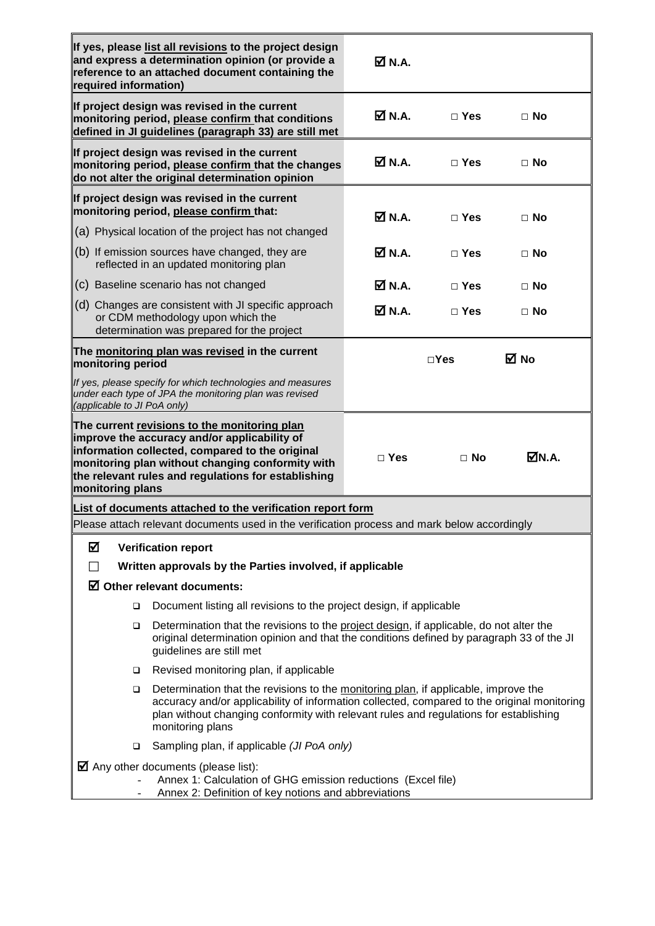| required information)                                                                                                                                                     | If yes, please list all revisions to the project design<br>and express a determination opinion (or provide a<br>reference to an attached document containing the                                                                                                                                | $\overline{\mathsf{M}}$ N.A. |               |           |  |  |  |
|---------------------------------------------------------------------------------------------------------------------------------------------------------------------------|-------------------------------------------------------------------------------------------------------------------------------------------------------------------------------------------------------------------------------------------------------------------------------------------------|------------------------------|---------------|-----------|--|--|--|
|                                                                                                                                                                           | If project design was revised in the current<br>monitoring period, please confirm that conditions<br>defined in JI guidelines (paragraph 33) are still met                                                                                                                                      | <b>Ø</b> N.A.                | $\Box$ Yes    | $\Box$ No |  |  |  |
|                                                                                                                                                                           | If project design was revised in the current<br>monitoring period, please confirm that the changes<br>do not alter the original determination opinion                                                                                                                                           | M N.A.                       | $\Box$ Yes    | $\Box$ No |  |  |  |
| If project design was revised in the current<br>monitoring period, please confirm that:                                                                                   |                                                                                                                                                                                                                                                                                                 | M N.A.                       | $\Box$ Yes    | $\Box$ No |  |  |  |
|                                                                                                                                                                           | (a) Physical location of the project has not changed                                                                                                                                                                                                                                            |                              |               |           |  |  |  |
|                                                                                                                                                                           | (b) If emission sources have changed, they are<br>reflected in an updated monitoring plan                                                                                                                                                                                                       | $\overline{\mathsf{M}}$ N.A. | $\Box$ Yes    | $\Box$ No |  |  |  |
|                                                                                                                                                                           | (c) Baseline scenario has not changed                                                                                                                                                                                                                                                           | <b>Ø</b> N.A.                | $\Box$ Yes    | $\Box$ No |  |  |  |
|                                                                                                                                                                           | (d) Changes are consistent with JI specific approach<br>or CDM methodology upon which the<br>determination was prepared for the project                                                                                                                                                         | $\overline{\mathsf{M}}$ N.A. | $\Box$ Yes    | $\Box$ No |  |  |  |
| The monitoring plan was revised in the current<br>monitoring period                                                                                                       |                                                                                                                                                                                                                                                                                                 |                              | $\square$ Yes | M No      |  |  |  |
| (applicable to JI PoA only)                                                                                                                                               | If yes, please specify for which technologies and measures<br>under each type of JPA the monitoring plan was revised                                                                                                                                                                            |                              |               |           |  |  |  |
| monitoring plans                                                                                                                                                          | The current revisions to the monitoring plan<br>improve the accuracy and/or applicability of<br>information collected, compared to the original<br>monitoring plan without changing conformity with<br>the relevant rules and regulations for establishing                                      | $\Box$ Yes                   | $\Box$ No     | MN.A.     |  |  |  |
| List of documents attached to the verification report form                                                                                                                |                                                                                                                                                                                                                                                                                                 |                              |               |           |  |  |  |
| Please attach relevant documents used in the verification process and mark below accordingly                                                                              |                                                                                                                                                                                                                                                                                                 |                              |               |           |  |  |  |
| ☑<br><b>Verification report</b>                                                                                                                                           |                                                                                                                                                                                                                                                                                                 |                              |               |           |  |  |  |
| Written approvals by the Parties involved, if applicable                                                                                                                  |                                                                                                                                                                                                                                                                                                 |                              |               |           |  |  |  |
|                                                                                                                                                                           | $\boxtimes$ Other relevant documents:                                                                                                                                                                                                                                                           |                              |               |           |  |  |  |
| □                                                                                                                                                                         | Document listing all revisions to the project design, if applicable                                                                                                                                                                                                                             |                              |               |           |  |  |  |
| □                                                                                                                                                                         | Determination that the revisions to the project design, if applicable, do not alter the<br>original determination opinion and that the conditions defined by paragraph 33 of the JI<br>guidelines are still met                                                                                 |                              |               |           |  |  |  |
| □                                                                                                                                                                         | Revised monitoring plan, if applicable                                                                                                                                                                                                                                                          |                              |               |           |  |  |  |
| □                                                                                                                                                                         | Determination that the revisions to the monitoring plan, if applicable, improve the<br>accuracy and/or applicability of information collected, compared to the original monitoring<br>plan without changing conformity with relevant rules and regulations for establishing<br>monitoring plans |                              |               |           |  |  |  |
| ❏                                                                                                                                                                         | Sampling plan, if applicable (JI PoA only)                                                                                                                                                                                                                                                      |                              |               |           |  |  |  |
| $\blacksquare$ Any other documents (please list):<br>Annex 1: Calculation of GHG emission reductions (Excel file)<br>Annex 2: Definition of key notions and abbreviations |                                                                                                                                                                                                                                                                                                 |                              |               |           |  |  |  |